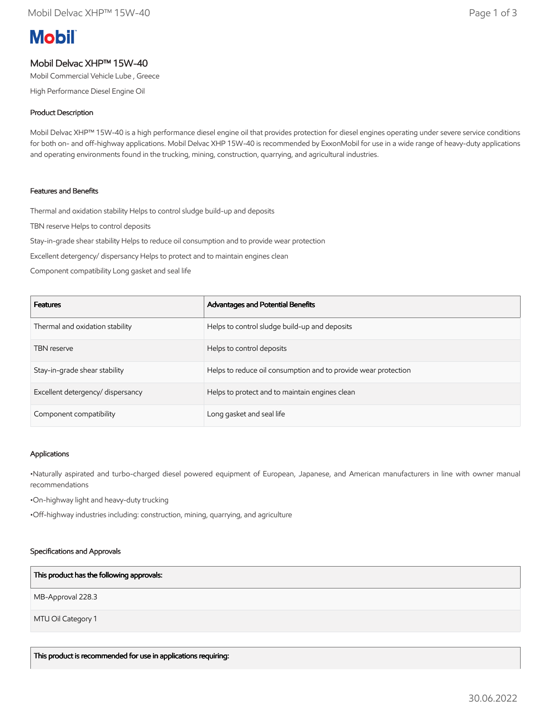# **Mobil**

# Mobil Delvac XHP™ 15W-40

Mobil Commercial Vehicle Lube , Greece

High Performance Diesel Engine Oil

## Product Description

Mobil Delvac XHP™ 15W-40 is a high performance diesel engine oil that provides protection for diesel engines operating under severe service conditions for both on- and off-highway applications. Mobil Delvac XHP 15W-40 is recommended by ExxonMobil for use in a wide range of heavy-duty applications and operating environments found in the trucking, mining, construction, quarrying, and agricultural industries.

## Features and Benefits

Thermal and oxidation stability Helps to control sludge build-up and deposits

TBN reserve Helps to control deposits

Stay-in-grade shear stability Helps to reduce oil consumption and to provide wear protection

Excellent detergency/ dispersancy Helps to protect and to maintain engines clean

Component compatibility Long gasket and seal life

| <b>Features</b>                  | Advantages and Potential Benefits                              |
|----------------------------------|----------------------------------------------------------------|
| Thermal and oxidation stability  | Helps to control sludge build-up and deposits                  |
| <b>TBN</b> reserve               | Helps to control deposits                                      |
| Stay-in-grade shear stability    | Helps to reduce oil consumption and to provide wear protection |
| Excellent detergency/dispersancy | Helps to protect and to maintain engines clean                 |
| Component compatibility          | Long gasket and seal life                                      |

#### Applications

•Naturally aspirated and turbo-charged diesel powered equipment of European, Japanese, and American manufacturers in line with owner manual recommendations

•On-highway light and heavy-duty trucking

•Off-highway industries including: construction, mining, quarrying, and agriculture

#### Specifications and Approvals

#### This product has the following approvals:

MB-Approval 228.3

MTU Oil Category 1

This product is recommended for use in applications requiring: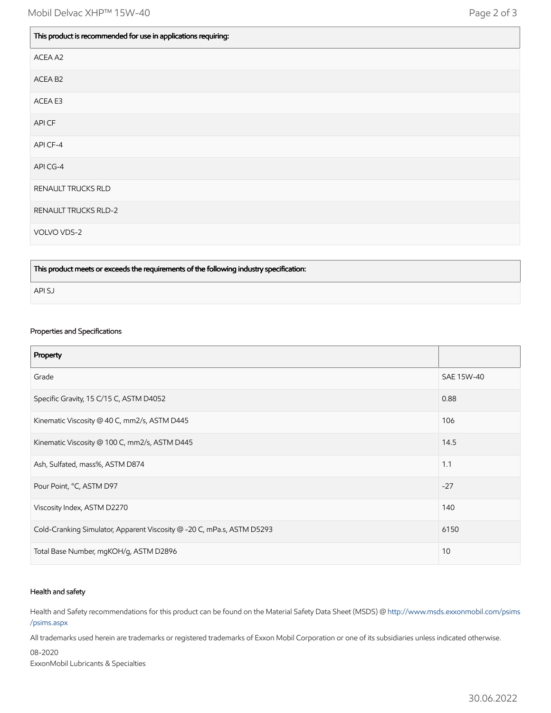ACEA A2

ACEA B2

ACEA E3 API CF API CF-4 API CG-4 RENAULT TRUCKS RLD RENAULT TRUCKS RLD-2 VOLVO VDS-2

This product meets or exceeds the requirements of the following industry specification:

API SJ

#### Properties and Specifications

| Property                                                               |            |
|------------------------------------------------------------------------|------------|
| Grade                                                                  | SAE 15W-40 |
| Specific Gravity, 15 C/15 C, ASTM D4052                                | 0.88       |
| Kinematic Viscosity @ 40 C, mm2/s, ASTM D445                           | 106        |
| Kinematic Viscosity @ 100 C, mm2/s, ASTM D445                          | 14.5       |
| Ash, Sulfated, mass%, ASTM D874                                        | 1.1        |
| Pour Point, °C, ASTM D97                                               | $-27$      |
| Viscosity Index, ASTM D2270                                            | 140        |
| Cold-Cranking Simulator, Apparent Viscosity @ -20 C, mPa.s, ASTM D5293 | 6150       |
| Total Base Number, mgKOH/g, ASTM D2896                                 | 10         |

#### Health and safety

Health and Safety recommendations for this product can be found on the Material Safety Data Sheet (MSDS) @ [http://www.msds.exxonmobil.com/psims](http://www.msds.exxonmobil.com/psims/psims.aspx) /psims.aspx

All trademarks used herein are trademarks or registered trademarks of Exxon Mobil Corporation or one of its subsidiaries unless indicated otherwise.

08-2020

ExxonMobil Lubricants & Specialties